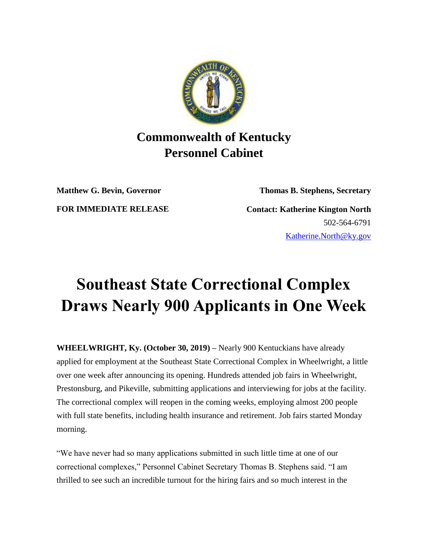

## **Commonwealth of Kentucky Personnel Cabinet**

**Matthew G. Bevin, Governor Thomas B. Stephens, Secretary**

**FOR IMMEDIATE RELEASE Contact: Katherine Kington North** 502-564-6791 [Katherine.North@ky.gov](mailto:LaDonna.Koebel.ky.gov)

## **Southeast State Correctional Complex Draws Nearly 900 Applicants in One Week**

**WHEELWRIGHT, Ky. (October 30, 2019) –** Nearly 900 Kentuckians have already applied for employment at the Southeast State Correctional Complex in Wheelwright, a little over one week after announcing its opening. Hundreds attended job fairs in Wheelwright, Prestonsburg, and Pikeville, submitting applications and interviewing for jobs at the facility. The correctional complex will reopen in the coming weeks, employing almost 200 people with full state benefits, including health insurance and retirement. Job fairs started Monday morning.

"We have never had so many applications submitted in such little time at one of our correctional complexes," Personnel Cabinet Secretary Thomas B. Stephens said. "I am thrilled to see such an incredible turnout for the hiring fairs and so much interest in the